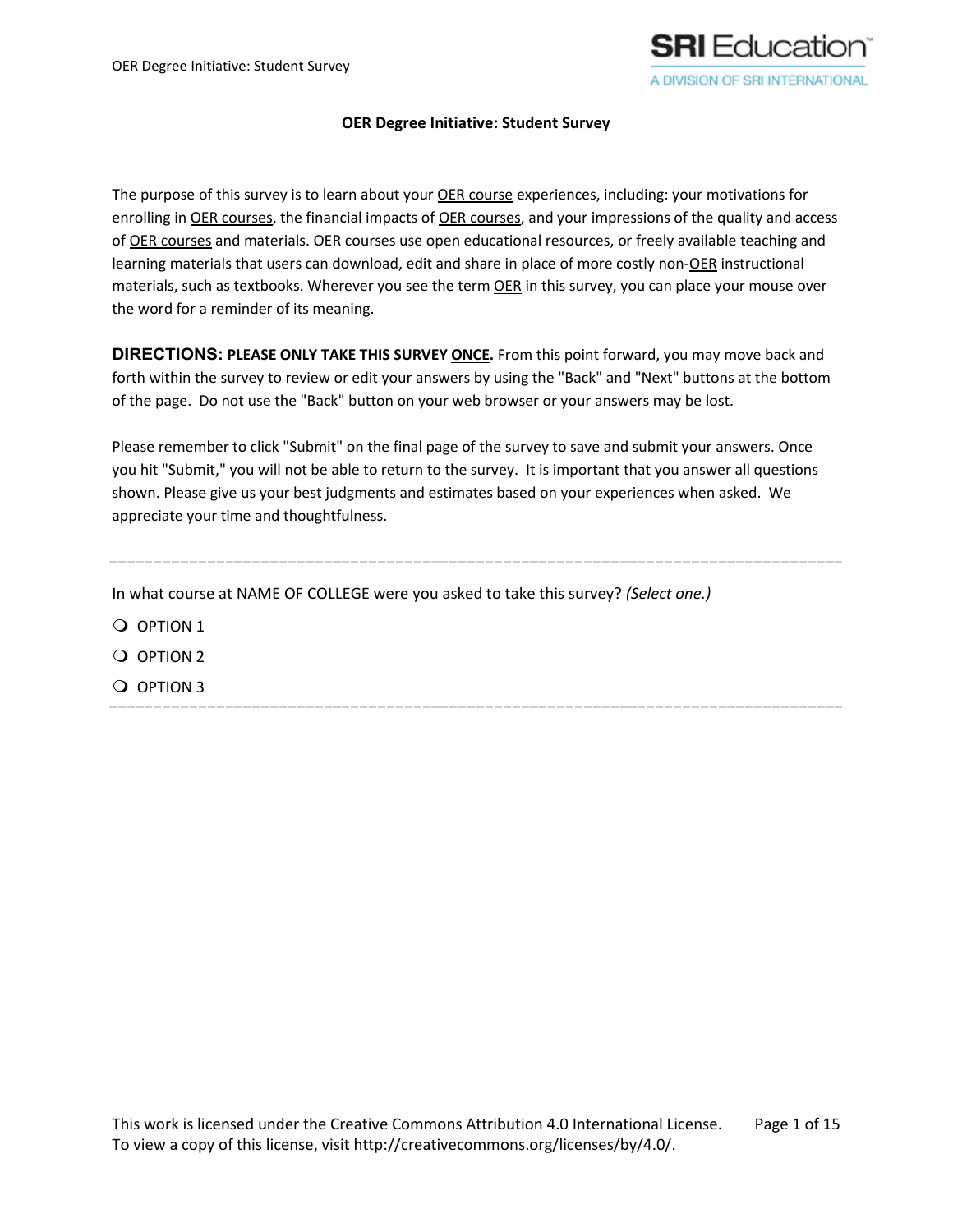

#### **OER Degree Initiative: Student Survey**

The purpose of this survey is to learn about your OER course experiences, including: your motivations for enrolling in OER courses, the financial impacts of OER courses, and your impressions of the quality and access of OER courses and materials. OER courses use open educational resources, or freely available teaching and learning materials that users can download, edit and share in place of more costly non-OER instructional materials, such as textbooks. Wherever you see the term OER in this survey, you can place your mouse over the word for a reminder of its meaning.

**DIRECTIONS: PLEASE ONLY TAKE THIS SURVEY ONCE.** From this point forward, you may move back and forth within the survey to review or edit your answers by using the "Back" and "Next" buttons at the bottom of the page. Do not use the "Back" button on your web browser or your answers may be lost.

Please remember to click "Submit" on the final page of the survey to save and submit your answers. Once you hit "Submit," you will not be able to return to the survey. It is important that you answer all questions shown. Please give us your best judgments and estimates based on your experiences when asked. We appreciate your time and thoughtfulness.

In what course at NAME OF COLLEGE were you asked to take this survey? *(Select one.)*

- O OPTION 1 Q OPTION 2
- $\overline{O}$  OPTION 3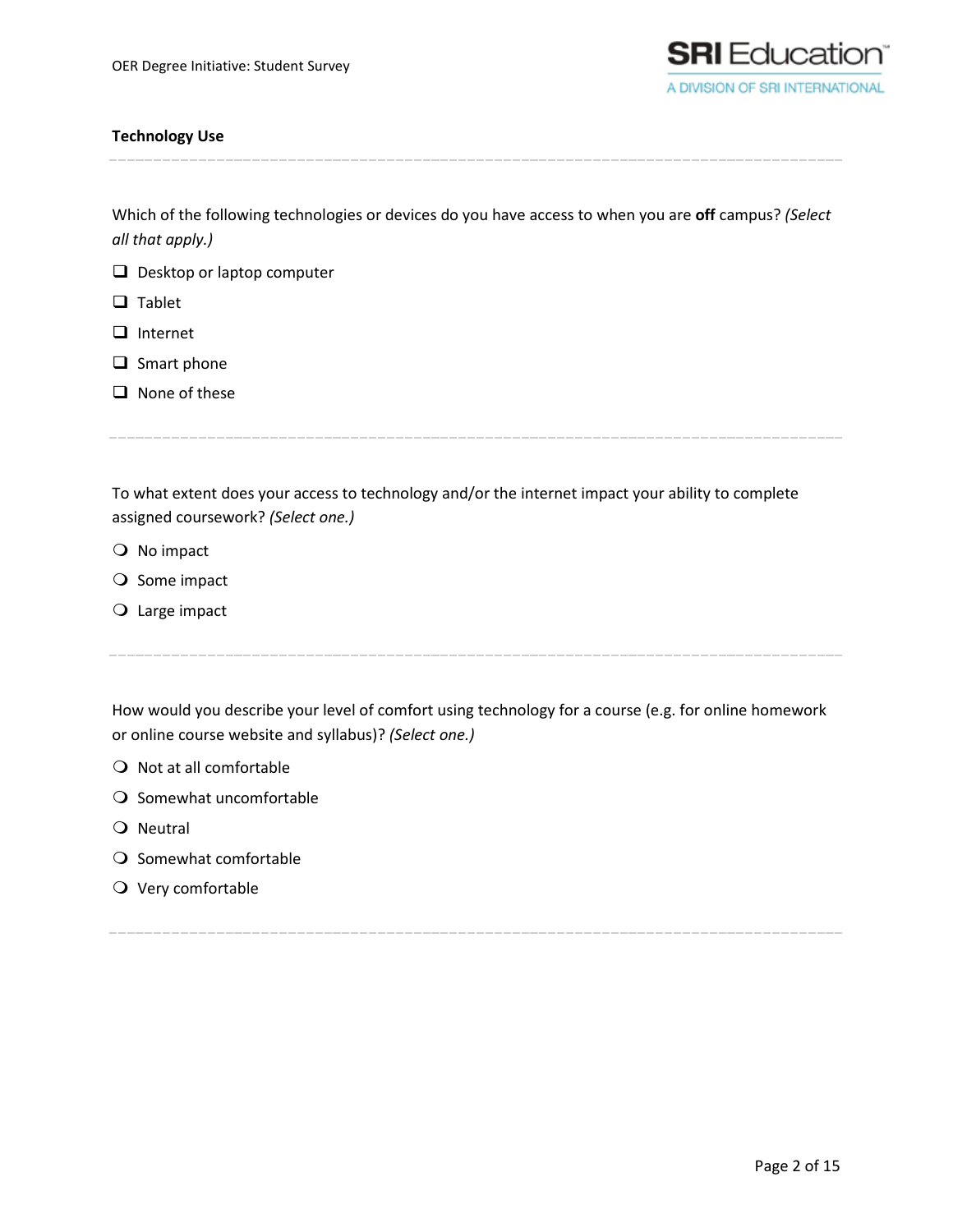

# **Technology Use**

Which of the following technologies or devices do you have access to when you are **off** campus? *(Select all that apply.)*

- Desktop or laptop computer
- $\Box$  Tablet
- $\Box$  Internet
- $\Box$  Smart phone
- $\Box$  None of these

To what extent does your access to technology and/or the internet impact your ability to complete assigned coursework? *(Select one.)*

- $\bigcirc$  No impact
- $\bigcirc$  Some impact
- Large impact

How would you describe your level of comfort using technology for a course (e.g. for online homework or online course website and syllabus)? *(Select one.)*

- $\bigcirc$  Not at all comfortable
- $\bigcirc$  Somewhat uncomfortable
- O Neutral
- $\bigcirc$  Somewhat comfortable
- $\bigcirc$  Very comfortable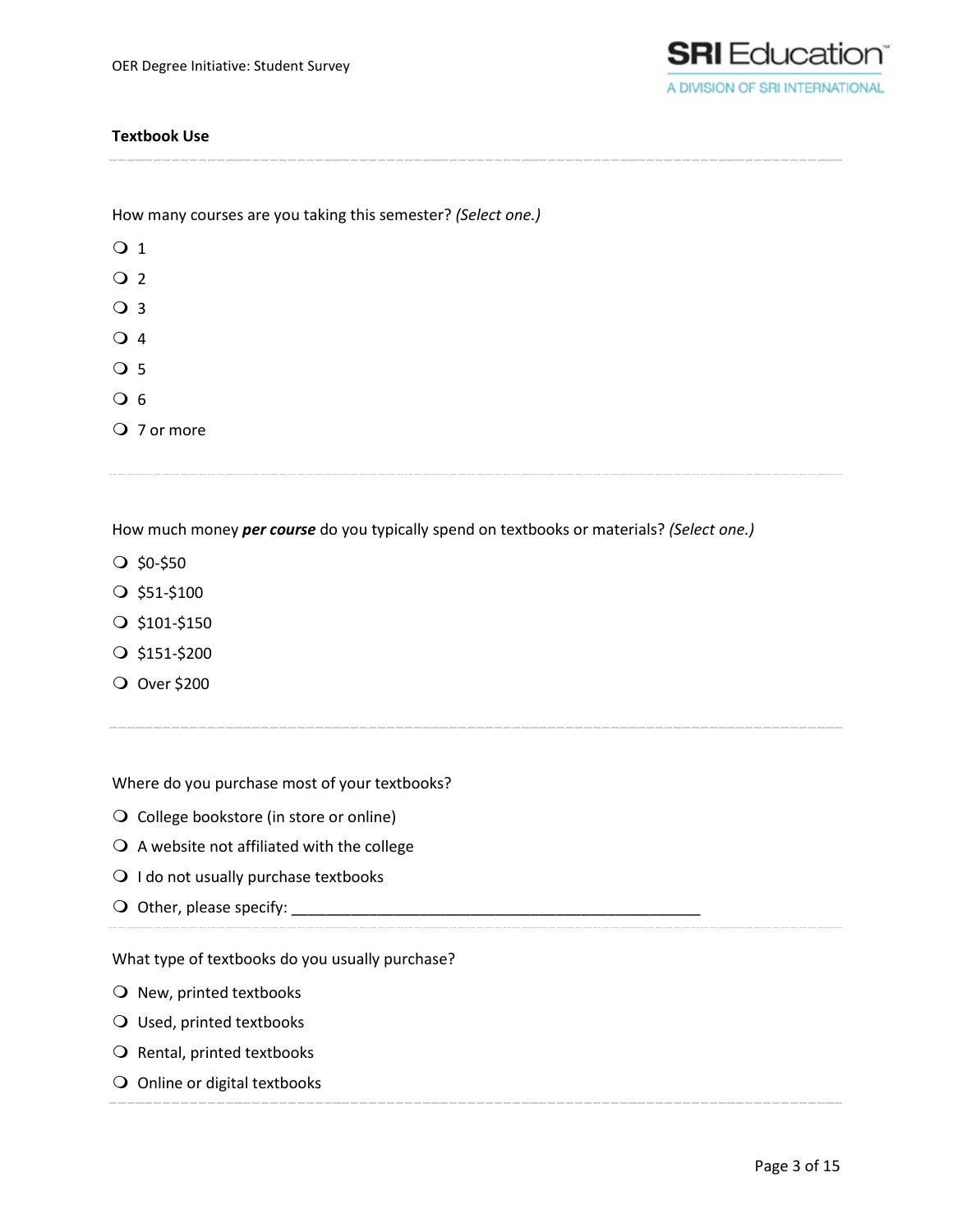

# **Textbook Use**

How many courses are you taking this semester? *(Select one.)*

| $\bigcirc$ 1 |             |  |  |
|--------------|-------------|--|--|
| $\bigcirc$ 2 |             |  |  |
| ○ 3          |             |  |  |
| $\bigcirc$ 4 |             |  |  |
| $\bigcirc$ 5 |             |  |  |
| $\bigcirc$ 6 |             |  |  |
|              | ○ 7 or more |  |  |
|              |             |  |  |

How much money *per course* do you typically spend on textbooks or materials? *(Select one.)*

- $\bigcirc$  \$0-\$50
- $O$ \$51-\$100
- $O$ \$101-\$150
- $Q$ \$151-\$200
- Over \$200

Where do you purchase most of your textbooks?

- O College bookstore (in store or online)
- $\bigcirc$  A website not affiliated with the college
- $\bigcirc$  I do not usually purchase textbooks
- $\bigcirc$  Other, please specify:

What type of textbooks do you usually purchase?

- $\bigcirc$  New, printed textbooks
- Used, printed textbooks
- $\bigcirc$  Rental, printed textbooks
- O Online or digital textbooks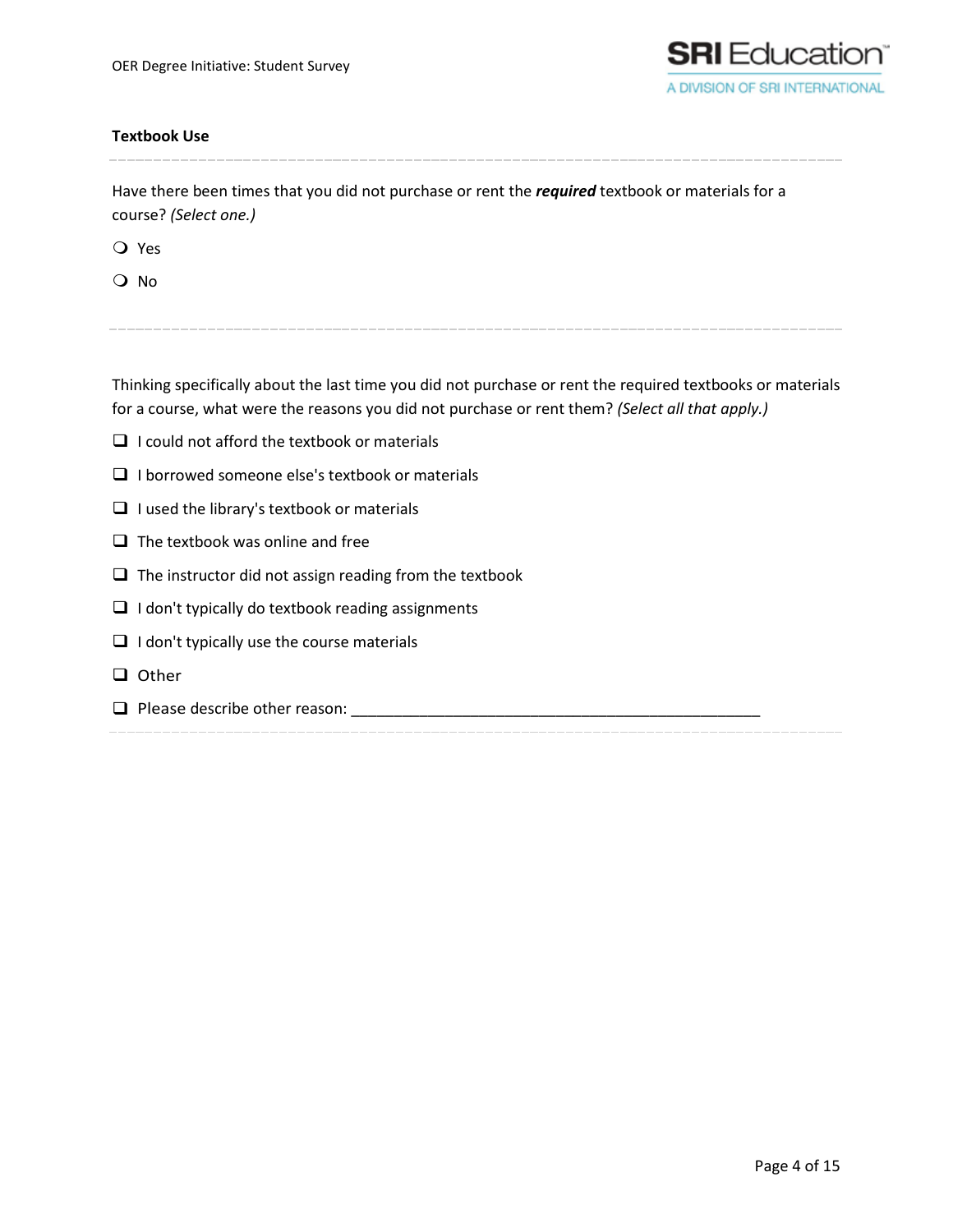

# **Textbook Use**

Have there been times that you did not purchase or rent the *required* textbook or materials for a course? *(Select one.)*

Yes

O No

Thinking specifically about the last time you did not purchase or rent the required textbooks or materials for a course, what were the reasons you did not purchase or rent them? *(Select all that apply.)*

- $\Box$  I could not afford the textbook or materials
- $\Box$  I borrowed someone else's textbook or materials
- $\Box$  I used the library's textbook or materials
- $\Box$  The textbook was online and free
- $\Box$  The instructor did not assign reading from the textbook
- $\Box$  I don't typically do textbook reading assignments
- $\Box$  I don't typically use the course materials
- Other
- $\Box$  Please describe other reason: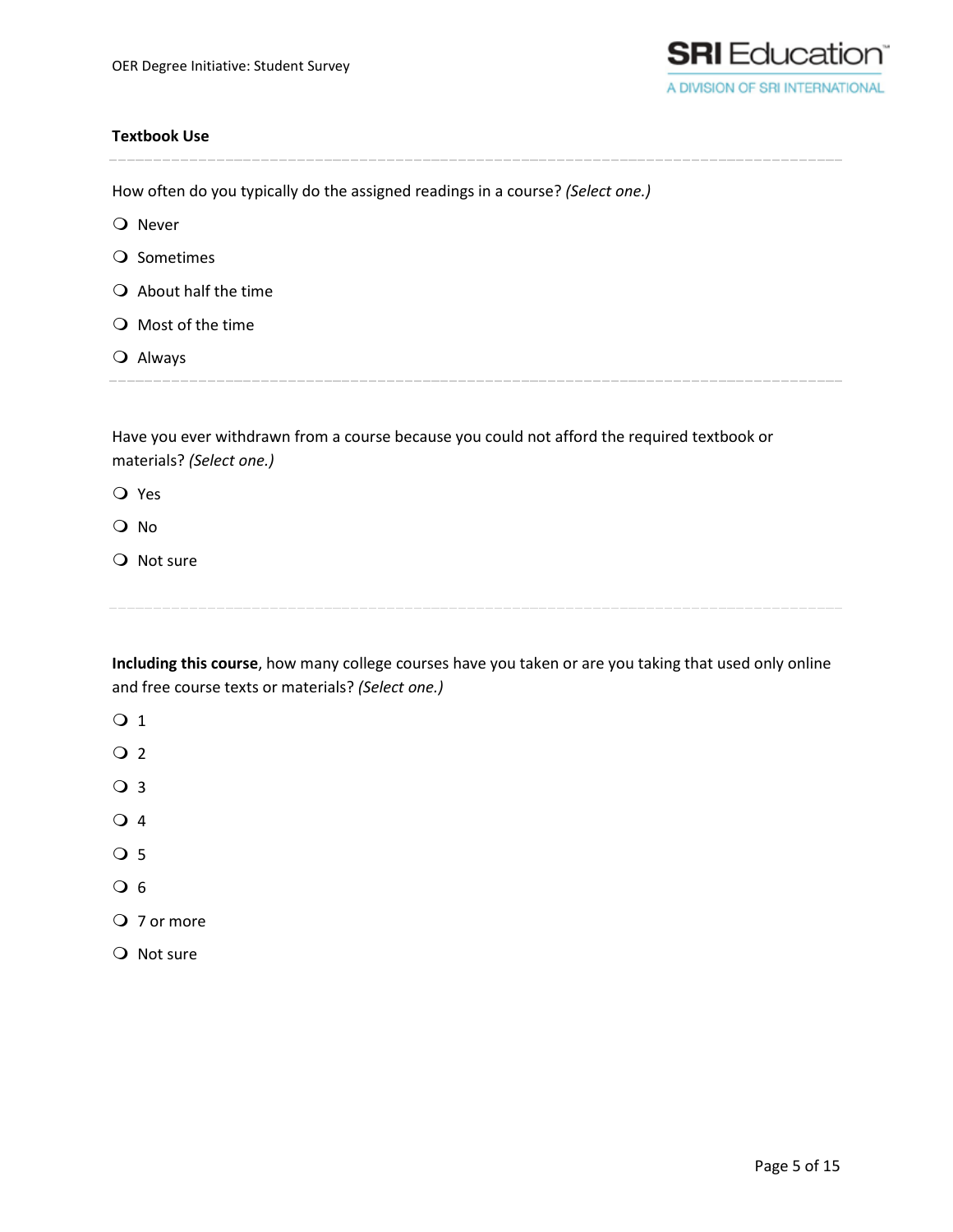

### **Textbook Use**

How often do you typically do the assigned readings in a course? *(Select one.)* O Never O Sometimes  $\bigcirc$  About half the time O Most of the time Always Have you ever withdrawn from a course because you could not afford the required textbook or materials? *(Select one.)*

Yes

O No

Q Not sure

**Including this course**, how many college courses have you taken or are you taking that used only online and free course texts or materials? *(Select one.)*

- O 1
- $\overline{Q}$  2
- O 3
- $\overline{Q}$  4
- O 5
- $\overline{O}$  6
- O 7 or more
- Q Not sure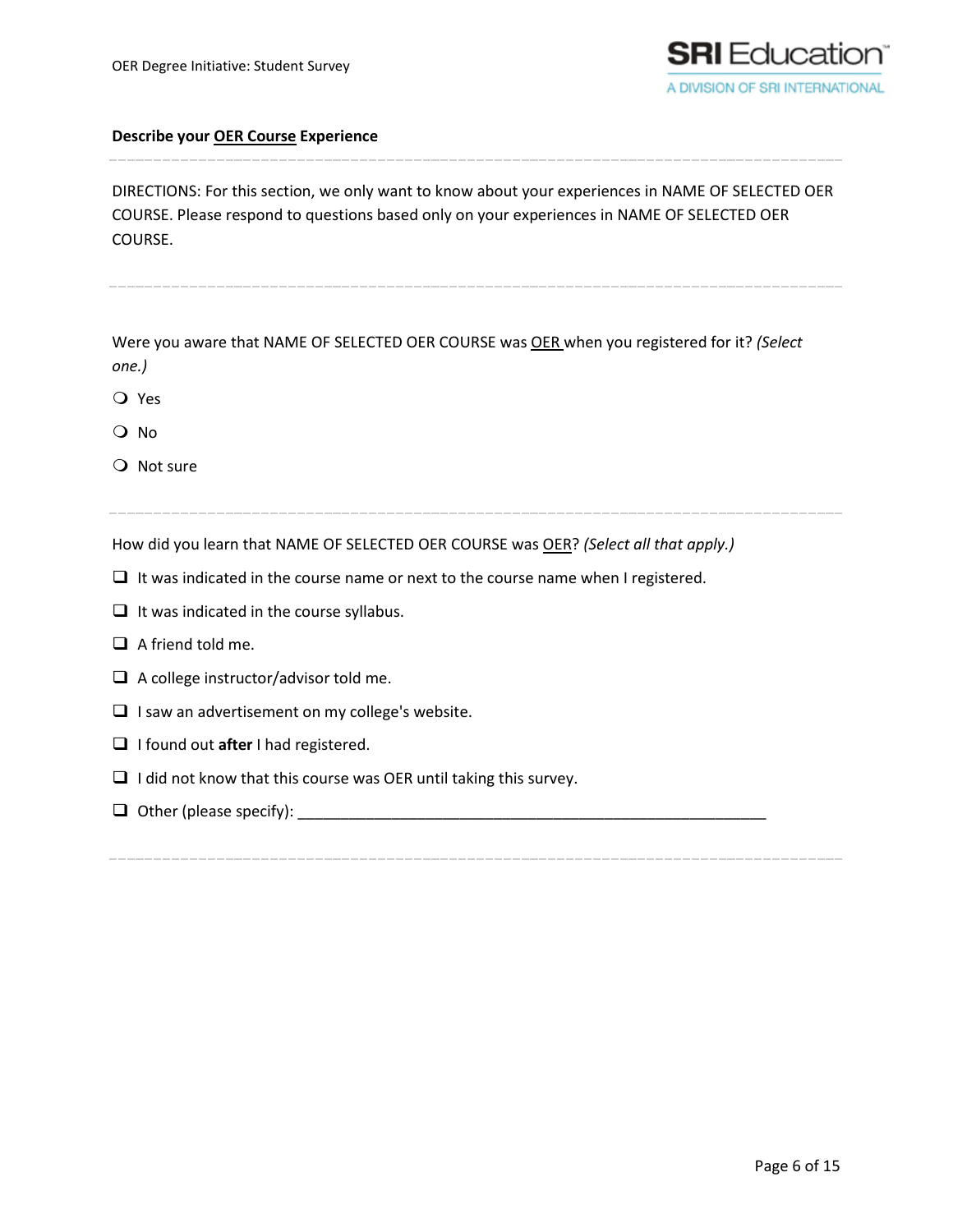

DIRECTIONS: For this section, we only want to know about your experiences in NAME OF SELECTED OER COURSE. Please respond to questions based only on your experiences in NAME OF SELECTED OER COURSE.

Were you aware that NAME OF SELECTED OER COURSE was OER when you registered for it? *(Select one.)*

O Yes

O No

 $\Omega$  Not sure

How did you learn that NAME OF SELECTED OER COURSE was OER? *(Select all that apply.)*

- $\Box$  It was indicated in the course name or next to the course name when I registered.
- $\Box$  It was indicated in the course syllabus.
- $\Box$  A friend told me.
- $\Box$  A college instructor/advisor told me.
- $\Box$  I saw an advertisement on my college's website.
- **I** I found out after I had registered.
- $\Box$  I did not know that this course was OER until taking this survey.
- $\Box$  Other (please specify):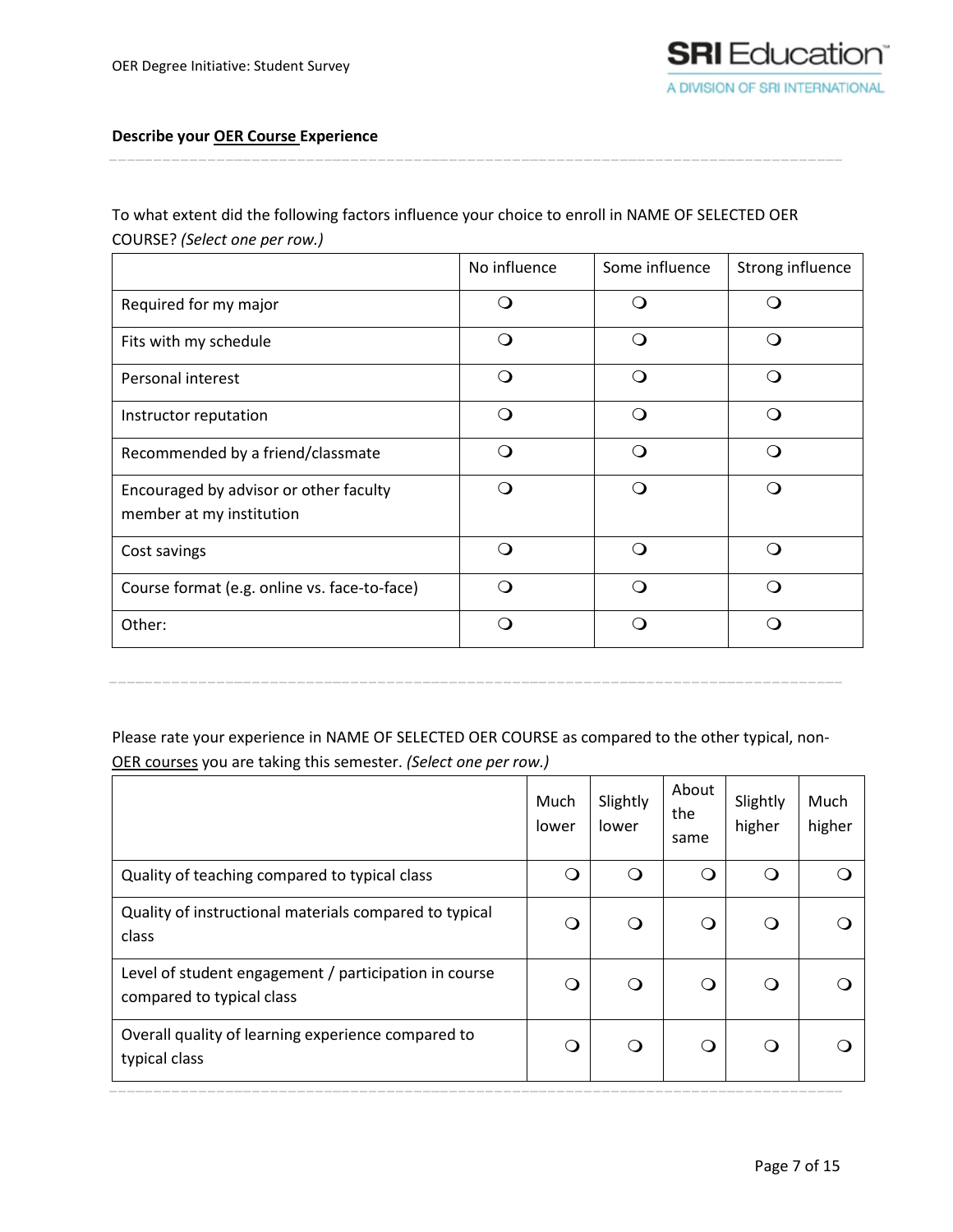To what extent did the following factors influence your choice to enroll in NAME OF SELECTED OER COURSE? *(Select one per row.)*

|                                                                    | No influence | Some influence | Strong influence |
|--------------------------------------------------------------------|--------------|----------------|------------------|
| Required for my major                                              | . .          |                |                  |
| Fits with my schedule                                              | $\Omega$     | ∩              | ∩                |
| Personal interest                                                  | $\bigcap$    | ∩              | ∩                |
| Instructor reputation                                              | ∩            | ∩              | ⌒                |
| Recommended by a friend/classmate                                  | $\Omega$     | ∩              | ∩                |
| Encouraged by advisor or other faculty<br>member at my institution | ∩            | ◯              | ∩                |
| Cost savings                                                       | ∩            | ∩              | ∩                |
| Course format (e.g. online vs. face-to-face)                       | ∩            | ∩              | ◠                |
| Other:                                                             | ∩            | ∩              |                  |

Please rate your experience in NAME OF SELECTED OER COURSE as compared to the other typical, non-OER courses you are taking this semester. *(Select one per row.)*

|                                                                                    | Much<br>lower | Slightly<br>lower | About<br>the<br>same | Slightly<br>higher | Much<br>higher |
|------------------------------------------------------------------------------------|---------------|-------------------|----------------------|--------------------|----------------|
| Quality of teaching compared to typical class                                      | O             | O                 | ( )                  | ∩                  |                |
| Quality of instructional materials compared to typical<br>class                    | Q             | Q                 | ∩                    | ∩                  |                |
| Level of student engagement / participation in course<br>compared to typical class | ∩             | Q                 | ∩                    | ∩                  |                |
| Overall quality of learning experience compared to<br>typical class                | $\Omega$      | Q                 | ∩                    | ∩                  |                |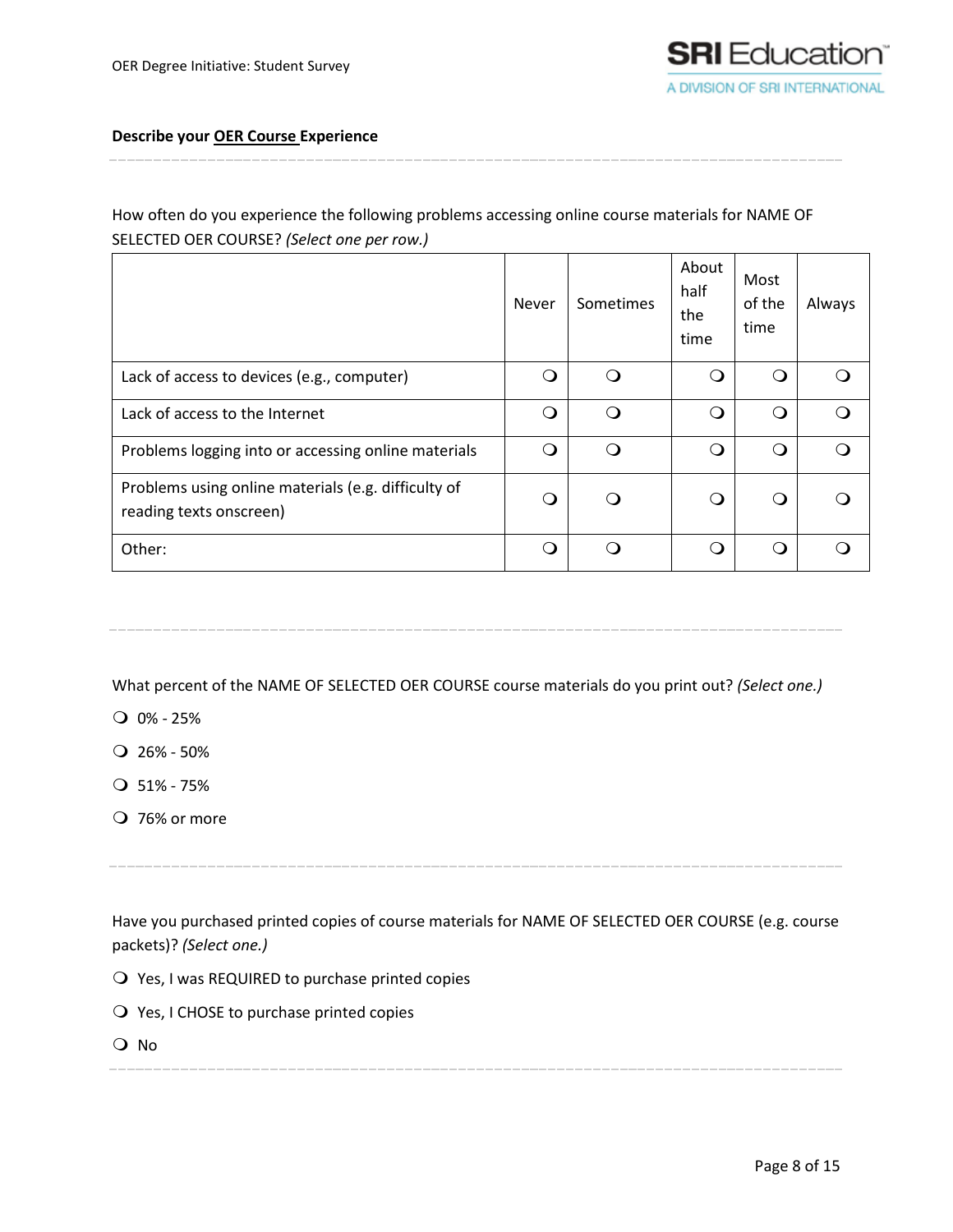# How often do you experience the following problems accessing online course materials for NAME OF SELECTED OER COURSE? *(Select one per row.)*

|                                                                                | Never | Sometimes        | About<br>half<br>the<br>time | Most<br>of the<br>time | Always |
|--------------------------------------------------------------------------------|-------|------------------|------------------------------|------------------------|--------|
| Lack of access to devices (e.g., computer)                                     | ∩     | ∩                | ⌒                            | ⌒                      |        |
| Lack of access to the Internet                                                 | ∩     | ∩                | ∩                            | ∩                      |        |
| Problems logging into or accessing online materials                            |       | $\left( \right)$ | ∩                            | ∩                      |        |
| Problems using online materials (e.g. difficulty of<br>reading texts onscreen) | ∩     |                  | 0                            | ⌒                      |        |
| Other:                                                                         | ∩     |                  | ∩                            | ⌒                      |        |

What percent of the NAME OF SELECTED OER COURSE course materials do you print out? *(Select one.)*

- $Q$  0% 25%
- $Q$  26% 50%
- $O$  51% 75%
- 76% or more

Have you purchased printed copies of course materials for NAME OF SELECTED OER COURSE (e.g. course packets)? *(Select one.)*

- Yes, I was REQUIRED to purchase printed copies
- Yes, I CHOSE to purchase printed copies
- No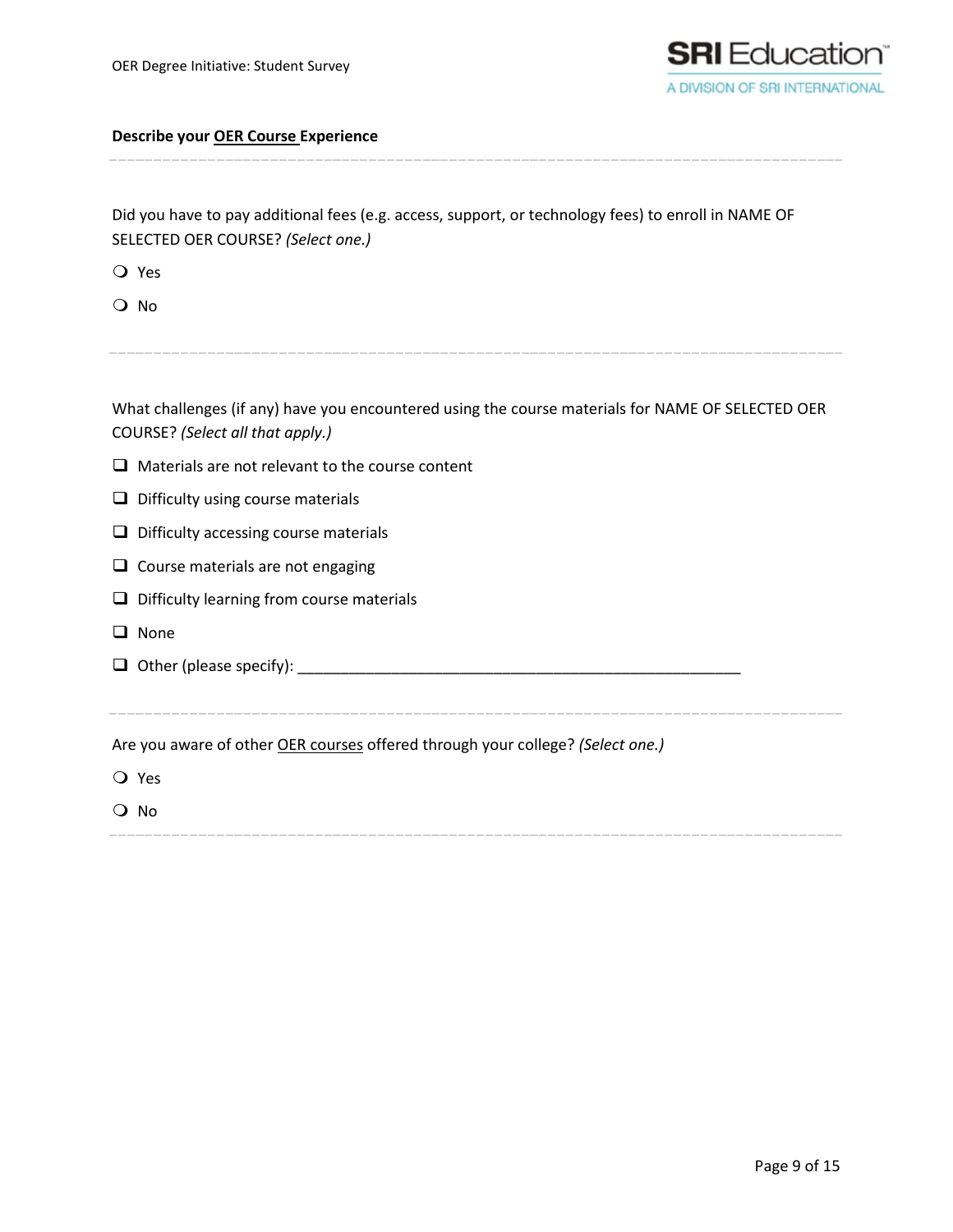

Did you have to pay additional fees (e.g. access, support, or technology fees) to enroll in NAME OF SELECTED OER COURSE? *(Select one.)*

Yes

O No

What challenges (if any) have you encountered using the course materials for NAME OF SELECTED OER COURSE? *(Select all that apply.)*

 $\Box$  Materials are not relevant to the course content

 $\Box$  Difficulty using course materials

 $\Box$  Difficulty accessing course materials

 $\Box$  Course materials are not engaging

 $\Box$  Difficulty learning from course materials

**Q** None

Other (please specify): \_\_\_\_\_\_\_\_\_\_\_\_\_\_\_\_\_\_\_\_\_\_\_\_\_\_\_\_\_\_\_\_\_\_\_\_\_\_\_\_\_\_\_\_\_\_\_\_\_\_\_\_

Are you aware of other OER courses offered through your college? *(Select one.)*

Yes

O No

Page 9 of 15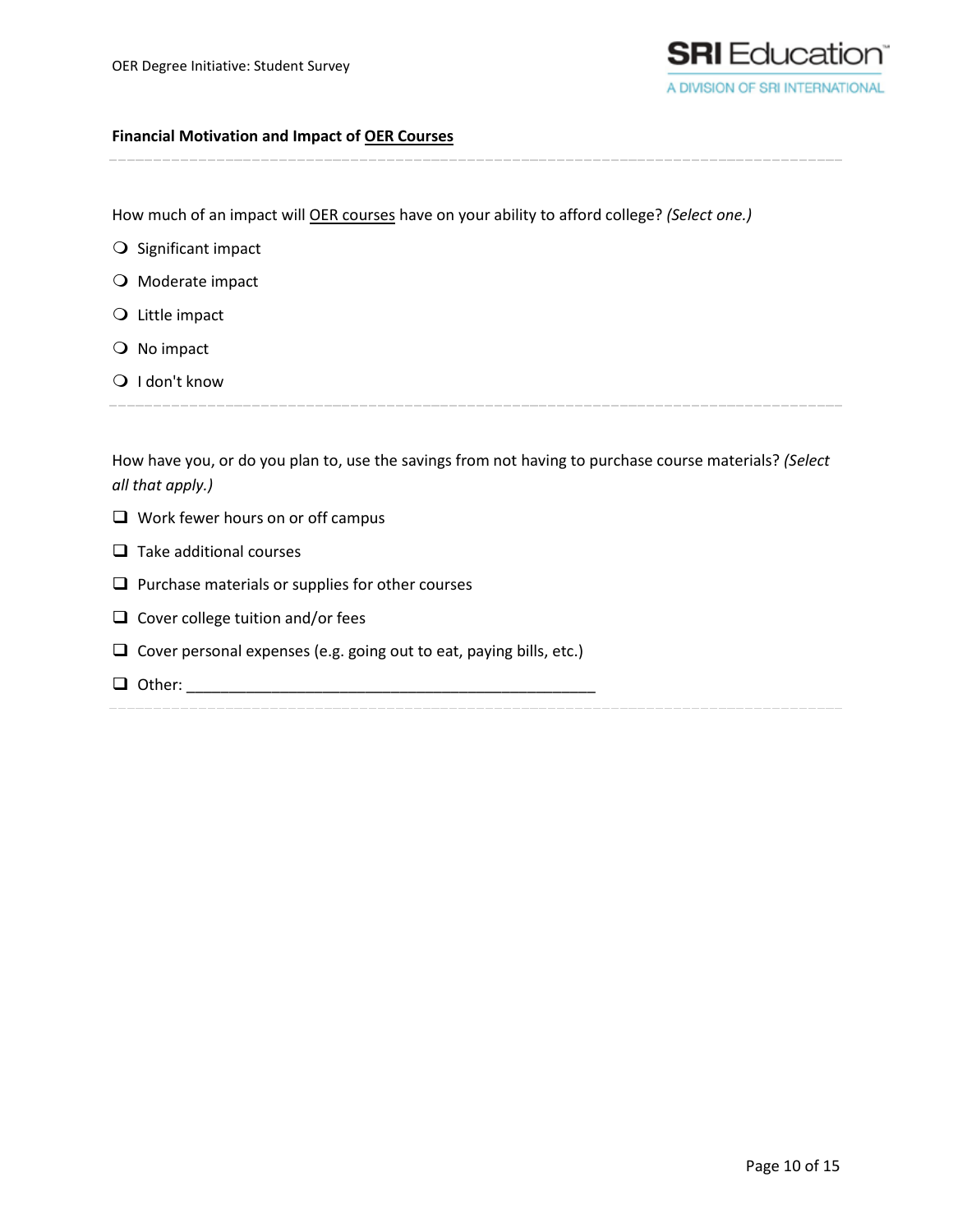

### **Financial Motivation and Impact of OER Courses**

How much of an impact will OER courses have on your ability to afford college? *(Select one.)*

- $\bigcirc$  Significant impact
- O Moderate impact
- Q Little impact
- $\bigcirc$  No impact
- Q I don't know

How have you, or do you plan to, use the savings from not having to purchase course materials? *(Select all that apply.)*

- $\Box$  Work fewer hours on or off campus
- $\Box$  Take additional courses
- $\Box$  Purchase materials or supplies for other courses
- $\Box$  Cover college tuition and/or fees
- $\Box$  Cover personal expenses (e.g. going out to eat, paying bills, etc.)
- Other: \_\_\_\_\_\_\_\_\_\_\_\_\_\_\_\_\_\_\_\_\_\_\_\_\_\_\_\_\_\_\_\_\_\_\_\_\_\_\_\_\_\_\_\_\_\_\_\_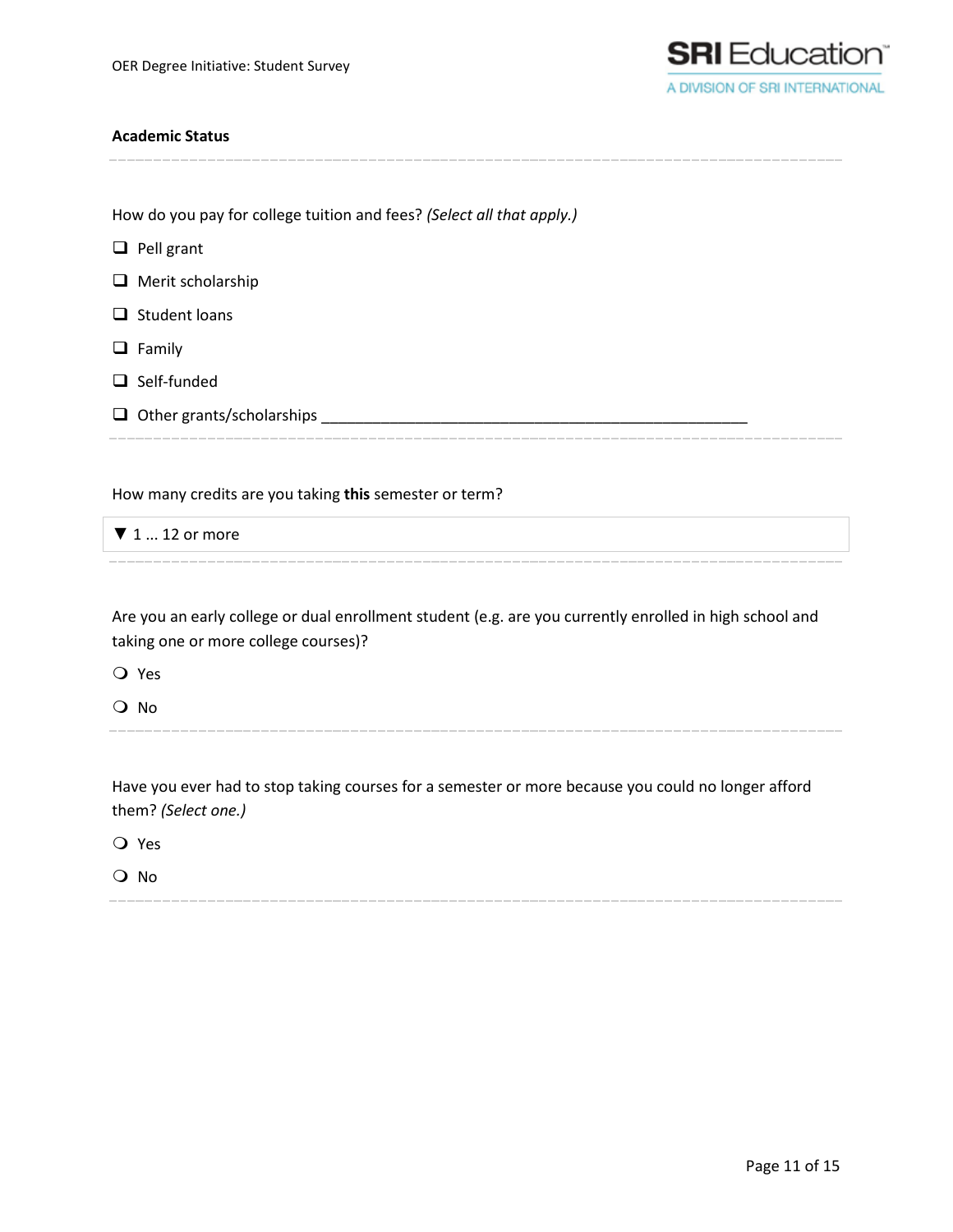

### **Academic Status**

How do you pay for college tuition and fees? *(Select all that apply.)*

 $\Box$  Pell grant

 $\Box$  Merit scholarship

- $\Box$  Student loans
- $\Box$  Family
- $\Box$  Self-funded
- Other grants/scholarships \_\_\_\_\_\_\_\_\_\_\_\_\_\_\_\_\_\_\_\_\_\_\_\_\_\_\_\_\_\_\_\_\_\_\_\_\_\_\_\_\_\_\_\_\_\_\_\_\_\_

How many credits are you taking **this** semester or term?

 $\nabla$  1 ... 12 or more

Are you an early college or dual enrollment student (e.g. are you currently enrolled in high school and taking one or more college courses)?

Yes

O No

Have you ever had to stop taking courses for a semester or more because you could no longer afford them? *(Select one.)*

Yes

O No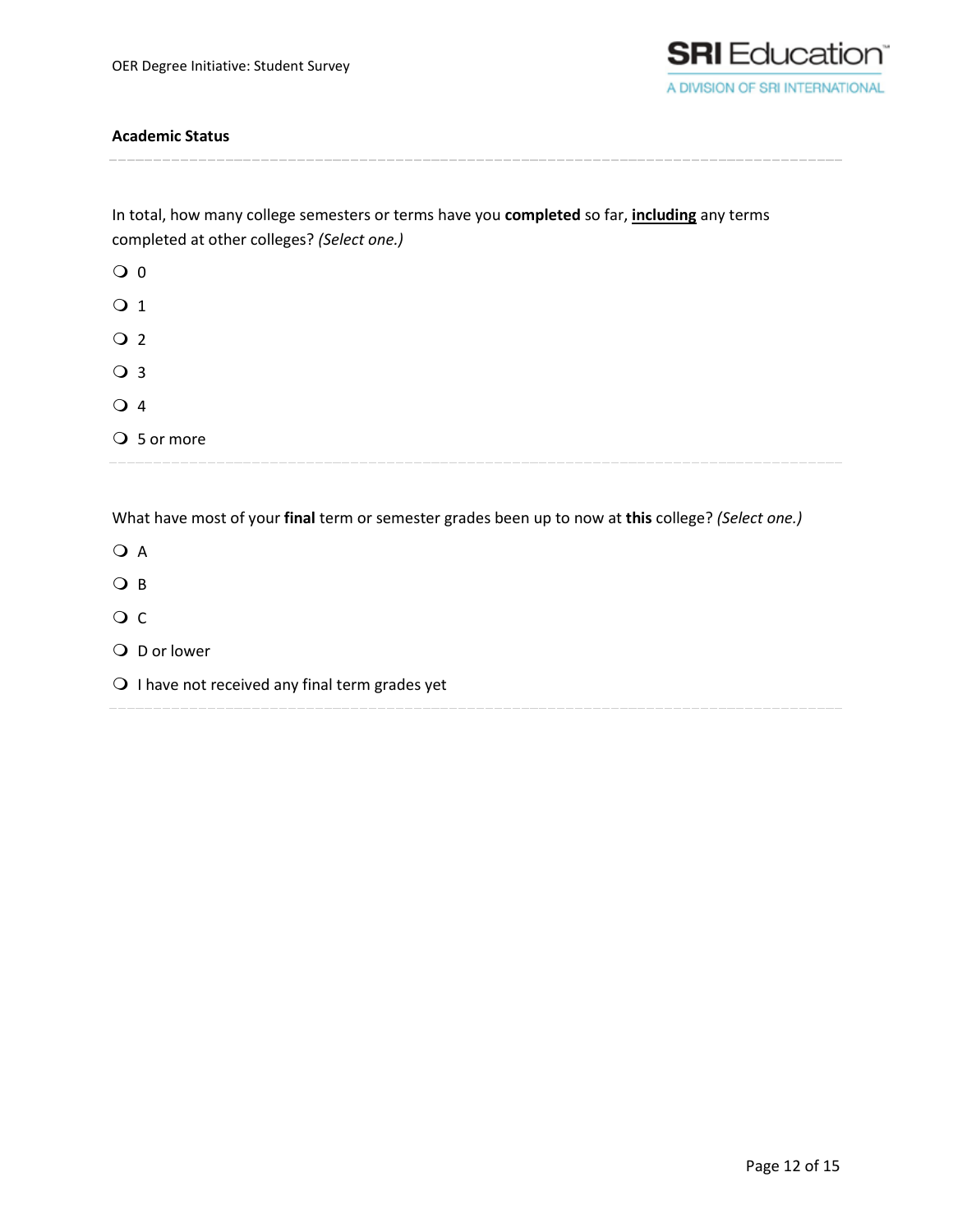

### **Academic Status**

In total, how many college semesters or terms have you **completed** so far, **including** any terms completed at other colleges? *(Select one.)*

| $\overline{O}$ 0 |             |  |
|------------------|-------------|--|
| $\bigcirc$ 1     |             |  |
| $\overline{O}$ 2 |             |  |
| ○ 3              |             |  |
| $\bigcirc$ 4     |             |  |
|                  | ○ 5 or more |  |

What have most of your **final** term or semester grades been up to now at **this** college? *(Select one.)*

O A O B O C Q D or lower  $\bigcirc$  I have not received any final term grades yet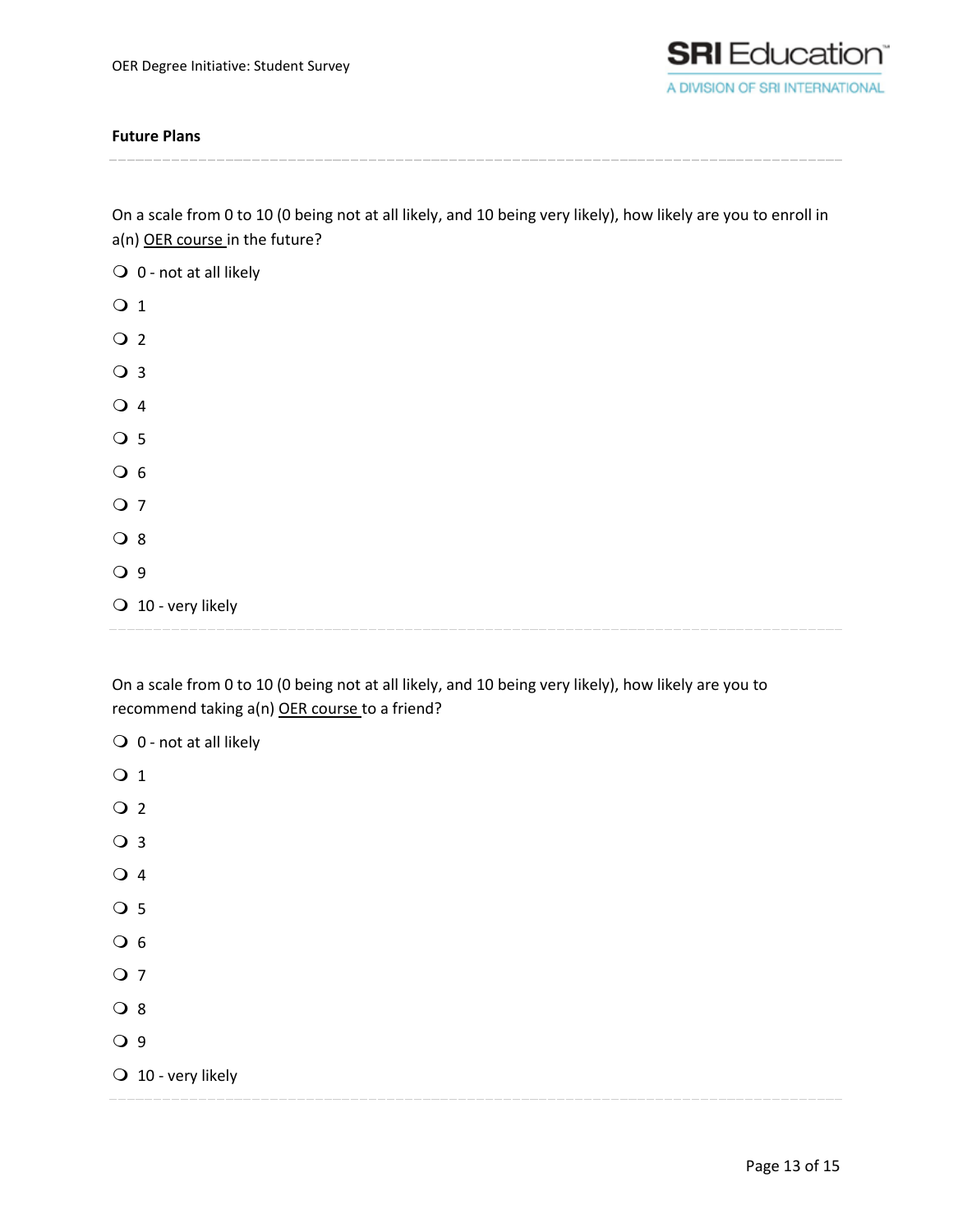

### **Future Plans**

On a scale from 0 to 10 (0 being not at all likely, and 10 being very likely), how likely are you to enroll in a(n) OER course in the future?

- $\bigcirc$  0 not at all likely
- O 1  $\overline{Q}$  2 O 3  $\overline{Q}$  4  $\overline{O}$  5  $\overline{O}$  6 O 7 O 8 O 9  $\bigcirc$  10 - very likely

On a scale from 0 to 10 (0 being not at all likely, and 10 being very likely), how likely are you to recommend taking a(n) OER course to a friend?

 $\bigcirc$  0 - not at all likely O 1  $\overline{Q}$  2  $\bigcirc$  3  $\overline{Q}$  4 O 5  $\overline{O}$  6 O 7 O 8 O 9  $\bigcirc$  10 - very likely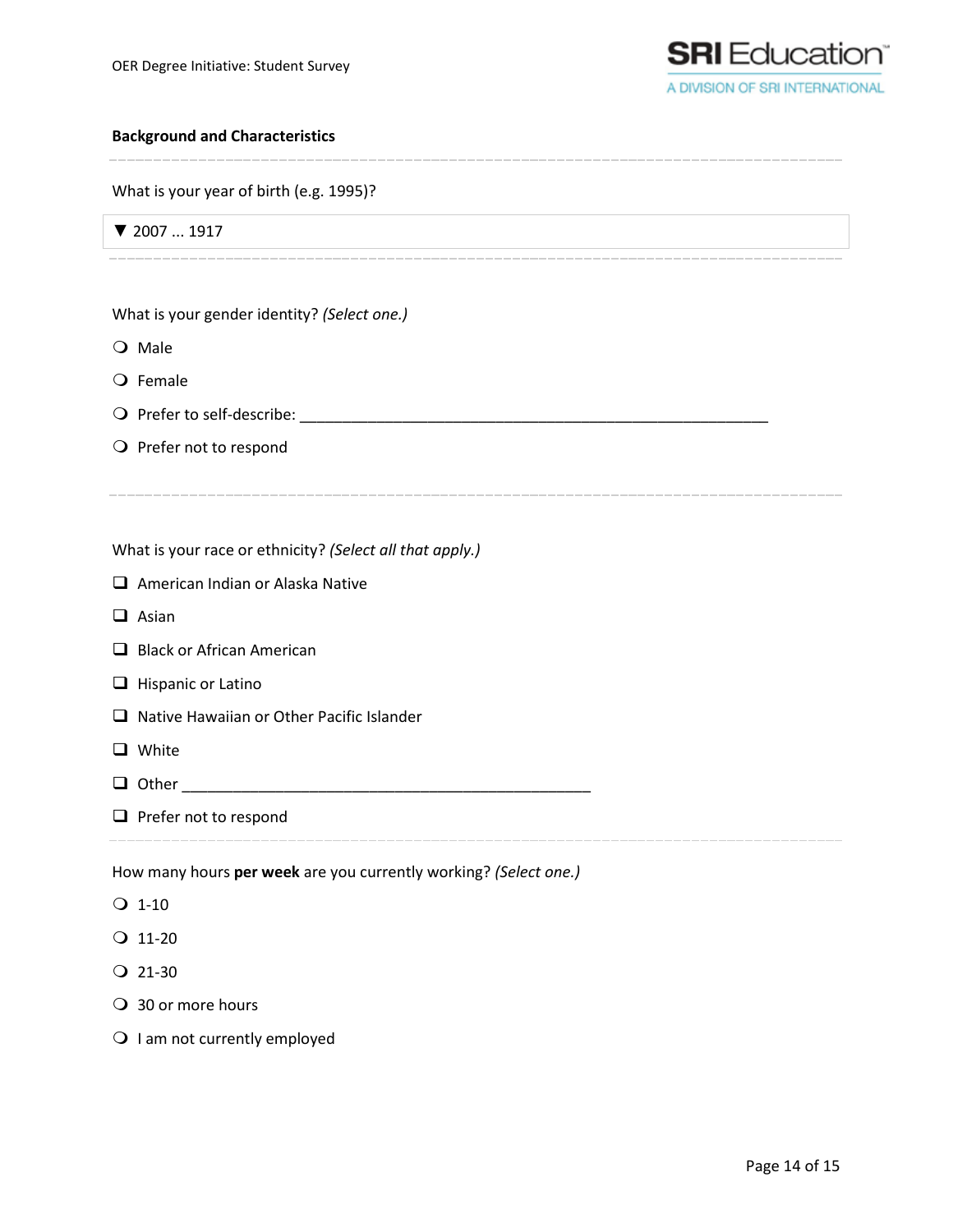

### **Background and Characteristics**

What is your year of birth (e.g. 1995)?

▼ 2007 ... 1917

What is your gender identity? *(Select one.)*

O Male

 $Q$  Female

Prefer to self-describe: \_\_\_\_\_\_\_\_\_\_\_\_\_\_\_\_\_\_\_\_\_\_\_\_\_\_\_\_\_\_\_\_\_\_\_\_\_\_\_\_\_\_\_\_\_\_\_\_\_\_\_\_\_\_\_

 $\bigcirc$  Prefer not to respond

What is your race or ethnicity? *(Select all that apply.)*

American Indian or Alaska Native

 $\Box$  Asian

Black or African American

- $\Box$  Hispanic or Latino
- □ Native Hawaiian or Other Pacific Islander
- **Q** White
- Other \_\_\_\_\_\_\_\_\_\_\_\_\_\_\_\_\_\_\_\_\_\_\_\_\_\_\_\_\_\_\_\_\_\_\_\_\_\_\_\_\_\_\_\_\_\_\_\_
- $\Box$  Prefer not to respond

How many hours **per week** are you currently working? *(Select one.)*

- $O$  1-10
- $Q$  11-20
- $Q$  21-30
- 30 or more hours
- $\bigcirc$  I am not currently employed